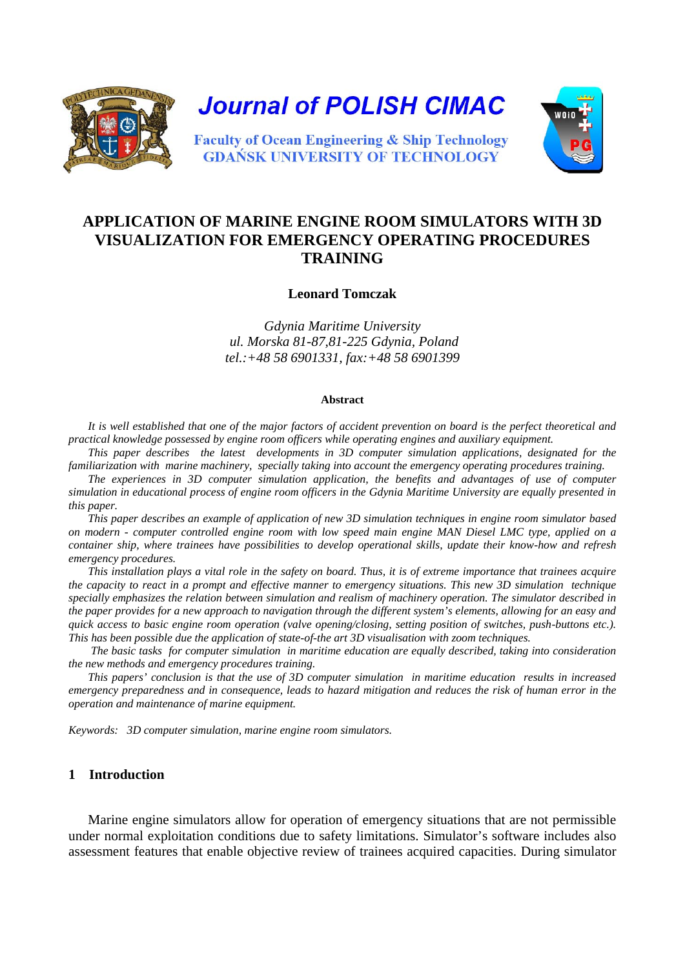



# **APPLICATION OF MARINE ENGINE ROOM SIMULATORS WITH 3D VISUALIZATION FOR EMERGENCY OPERATING PROCEDURES TRAINING**

**Leonard Tomczak** 

*Gdynia Maritime University ul. Morska 81-87,81-225 Gdynia, Poland tel.:+48 58 6901331, fax:+48 58 6901399*

#### **Abstract**

*It is well established that one of the major factors of accident prevention on board is the perfect theoretical and practical knowledge possessed by engine room officers while operating engines and auxiliary equipment.*

*This paper describes the latest developments in 3D computer simulation applications, designated for the familiarization with marine machinery, specially taking into account the emergency operating procedures training.* 

*The experiences in 3D computer simulation application, the benefits and advantages of use of computer simulation in educational process of engine room officers in the Gdynia Maritime University are equally presented in this paper.*

*This paper describes an example of application of new 3D simulation techniques in engine room simulator based on modern - computer controlled engine room with low speed main engine MAN Diesel LMC type, applied on a container ship, where trainees have possibilities to develop operational skills, update their know-how and refresh emergency procedures.* 

*This installation plays a vital role in the safety on board. Thus, it is of extreme importance that trainees acquire the capacity to react in a prompt and effective manner to emergency situations. This new 3D simulation technique specially emphasizes the relation between simulation and realism of machinery operation. The simulator described in the paper provides for a new approach to navigation through the different system's elements, allowing for an easy and quick access to basic engine room operation (valve opening/closing, setting position of switches, push-buttons etc.). This has been possible due the application of state-of-the art 3D visualisation with zoom techniques.*

*The basic tasks for computer simulation in maritime education are equally described, taking into consideration the new methods and emergency procedures training.* 

*This papers' conclusion is that the use of 3D computer simulation in maritime education results in increased emergency preparedness and in consequence, leads to hazard mitigation and reduces the risk of human error in the operation and maintenance of marine equipment.* 

*Keywords: 3D computer simulation, marine engine room simulators.*

#### **1 Introduction**

Marine engine simulators allow for operation of emergency situations that are not permissible under normal exploitation conditions due to safety limitations. Simulator's software includes also assessment features that enable objective review of trainees acquired capacities. During simulator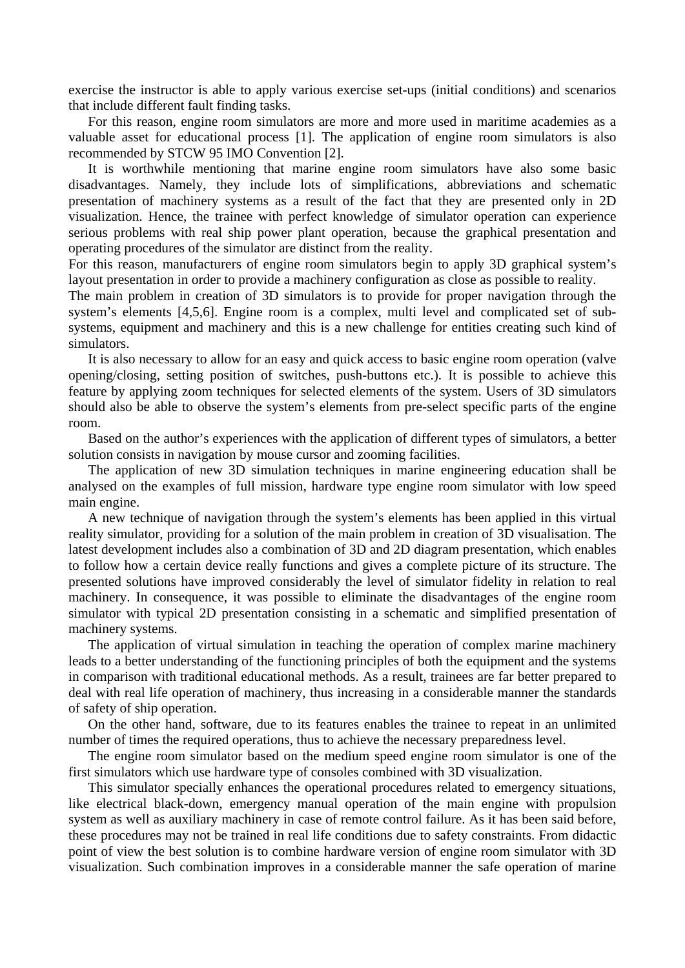exercise the instructor is able to apply various exercise set-ups (initial conditions) and scenarios that include different fault finding tasks.

For this reason, engine room simulators are more and more used in maritime academies as a valuable asset for educational process [1]. The application of engine room simulators is also recommended by STCW 95 IMO Convention [2].

It is worthwhile mentioning that marine engine room simulators have also some basic disadvantages. Namely, they include lots of simplifications, abbreviations and schematic presentation of machinery systems as a result of the fact that they are presented only in 2D visualization. Hence, the trainee with perfect knowledge of simulator operation can experience serious problems with real ship power plant operation, because the graphical presentation and operating procedures of the simulator are distinct from the reality.

For this reason, manufacturers of engine room simulators begin to apply 3D graphical system's layout presentation in order to provide a machinery configuration as close as possible to reality.

The main problem in creation of 3D simulators is to provide for proper navigation through the system's elements [4,5,6]. Engine room is a complex, multi level and complicated set of subsystems, equipment and machinery and this is a new challenge for entities creating such kind of simulators.

It is also necessary to allow for an easy and quick access to basic engine room operation (valve opening/closing, setting position of switches, push-buttons etc.). It is possible to achieve this feature by applying zoom techniques for selected elements of the system. Users of 3D simulators should also be able to observe the system's elements from pre-select specific parts of the engine room.

Based on the author's experiences with the application of different types of simulators, a better solution consists in navigation by mouse cursor and zooming facilities.

The application of new 3D simulation techniques in marine engineering education shall be analysed on the examples of full mission, hardware type engine room simulator with low speed main engine.

A new technique of navigation through the system's elements has been applied in this virtual reality simulator, providing for a solution of the main problem in creation of 3D visualisation. The latest development includes also a combination of 3D and 2D diagram presentation, which enables to follow how a certain device really functions and gives a complete picture of its structure. The presented solutions have improved considerably the level of simulator fidelity in relation to real machinery. In consequence, it was possible to eliminate the disadvantages of the engine room simulator with typical 2D presentation consisting in a schematic and simplified presentation of machinery systems.

The application of virtual simulation in teaching the operation of complex marine machinery leads to a better understanding of the functioning principles of both the equipment and the systems in comparison with traditional educational methods. As a result, trainees are far better prepared to deal with real life operation of machinery, thus increasing in a considerable manner the standards of safety of ship operation.

On the other hand, software, due to its features enables the trainee to repeat in an unlimited number of times the required operations, thus to achieve the necessary preparedness level.

The engine room simulator based on the medium speed engine room simulator is one of the first simulators which use hardware type of consoles combined with 3D visualization.

This simulator specially enhances the operational procedures related to emergency situations, like electrical black-down, emergency manual operation of the main engine with propulsion system as well as auxiliary machinery in case of remote control failure. As it has been said before, these procedures may not be trained in real life conditions due to safety constraints. From didactic point of view the best solution is to combine hardware version of engine room simulator with 3D visualization. Such combination improves in a considerable manner the safe operation of marine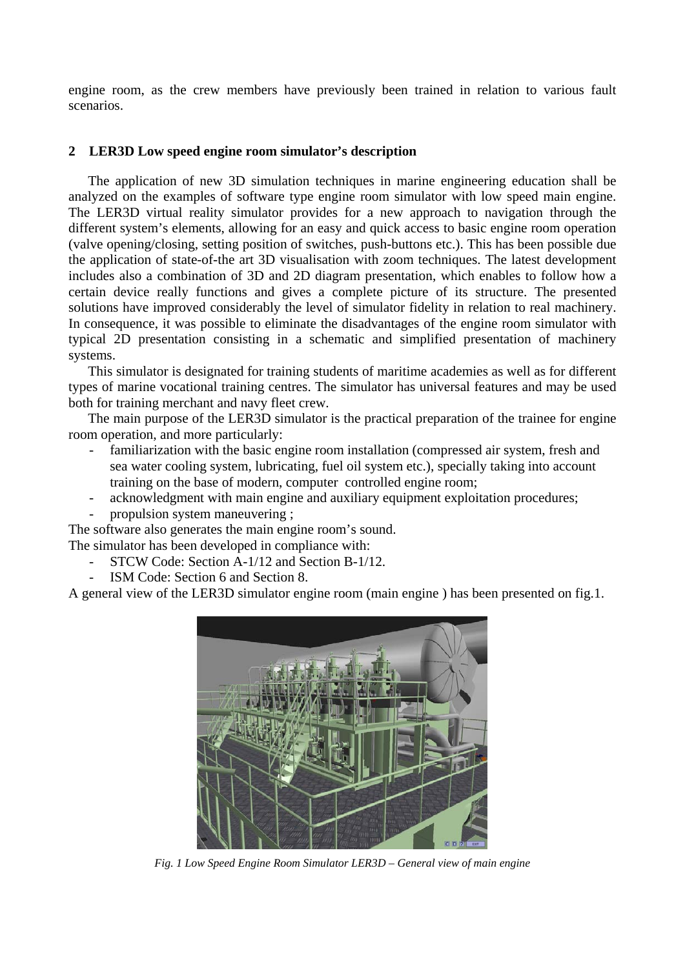engine room, as the crew members have previously been trained in relation to various fault scenarios.

### **2 LER3D Low speed engine room simulator's description**

The application of new 3D simulation techniques in marine engineering education shall be analyzed on the examples of software type engine room simulator with low speed main engine. The LER3D virtual reality simulator provides for a new approach to navigation through the different system's elements, allowing for an easy and quick access to basic engine room operation (valve opening/closing, setting position of switches, push-buttons etc.). This has been possible due the application of state-of-the art 3D visualisation with zoom techniques. The latest development includes also a combination of 3D and 2D diagram presentation, which enables to follow how a certain device really functions and gives a complete picture of its structure. The presented solutions have improved considerably the level of simulator fidelity in relation to real machinery. In consequence, it was possible to eliminate the disadvantages of the engine room simulator with typical 2D presentation consisting in a schematic and simplified presentation of machinery systems.

This simulator is designated for training students of maritime academies as well as for different types of marine vocational training centres. The simulator has universal features and may be used both for training merchant and navy fleet crew.

The main purpose of the LER3D simulator is the practical preparation of the trainee for engine room operation, and more particularly:

- familiarization with the basic engine room installation (compressed air system, fresh and sea water cooling system, lubricating, fuel oil system etc.), specially taking into account training on the base of modern, computer controlled engine room;
- acknowledgment with main engine and auxiliary equipment exploitation procedures;
- propulsion system maneuvering ;

The software also generates the main engine room's sound.

The simulator has been developed in compliance with:

- STCW Code: Section A-1/12 and Section B-1/12.
- ISM Code: Section 6 and Section 8.

A general view of the LER3D simulator engine room (main engine ) has been presented on fig.1.



*Fig. 1 Low Speed Engine Room Simulator LER3D – General view of main engine*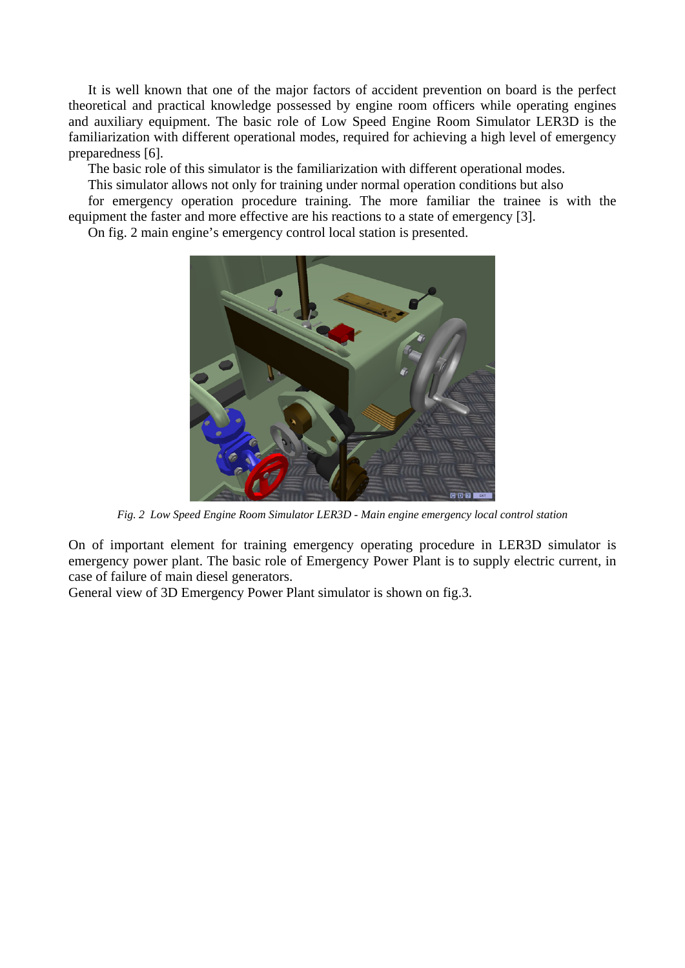It is well known that one of the major factors of accident prevention on board is the perfect theoretical and practical knowledge possessed by engine room officers while operating engines and auxiliary equipment. The basic role of Low Speed Engine Room Simulator LER3D is the familiarization with different operational modes, required for achieving a high level of emergency preparedness [6].

The basic role of this simulator is the familiarization with different operational modes.

This simulator allows not only for training under normal operation conditions but also

for emergency operation procedure training. The more familiar the trainee is with the equipment the faster and more effective are his reactions to a state of emergency [3].

On fig. 2 main engine's emergency control local station is presented.



*Fig. 2 Low Speed Engine Room Simulator LER3D - Main engine emergency local control station* 

On of important element for training emergency operating procedure in LER3D simulator is emergency power plant. The basic role of Emergency Power Plant is to supply electric current, in case of failure of main diesel generators.

General view of 3D Emergency Power Plant simulator is shown on fig.3.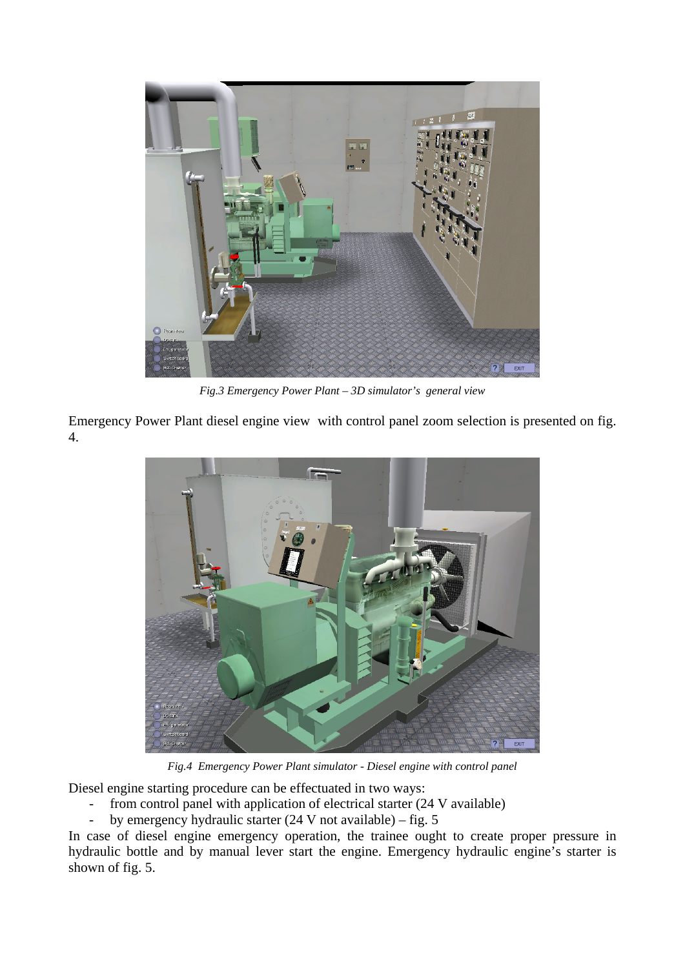

*Fig.3 Emergency Power Plant – 3D simulator's general view*

Emergency Power Plant diesel engine view with control panel zoom selection is presented on fig. 4.



*Fig.4 Emergency Power Plant simulator - Diesel engine with control panel*

Diesel engine starting procedure can be effectuated in two ways:

- from control panel with application of electrical starter (24 V available)
- by emergency hydraulic starter (24 V not available) fig. 5

In case of diesel engine emergency operation, the trainee ought to create proper pressure in hydraulic bottle and by manual lever start the engine. Emergency hydraulic engine's starter is shown of fig. 5.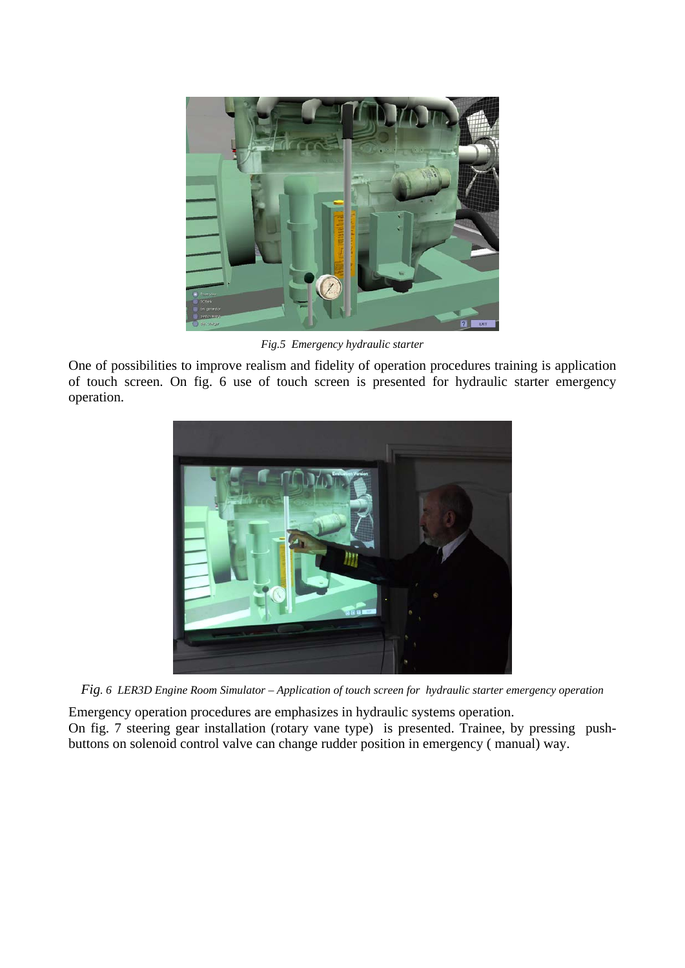

*Fig.5 Emergency hydraulic starter* 

One of possibilities to improve realism and fidelity of operation procedures training is application of touch screen. On fig. 6 use of touch screen is presented for hydraulic starter emergency operation.



*Fig. 6 LER3D Engine Room Simulator – Application of touch screen for hydraulic starter emergency operation* 

Emergency operation procedures are emphasizes in hydraulic systems operation. On fig. 7 steering gear installation (rotary vane type) is presented. Trainee, by pressing pushbuttons on solenoid control valve can change rudder position in emergency ( manual) way.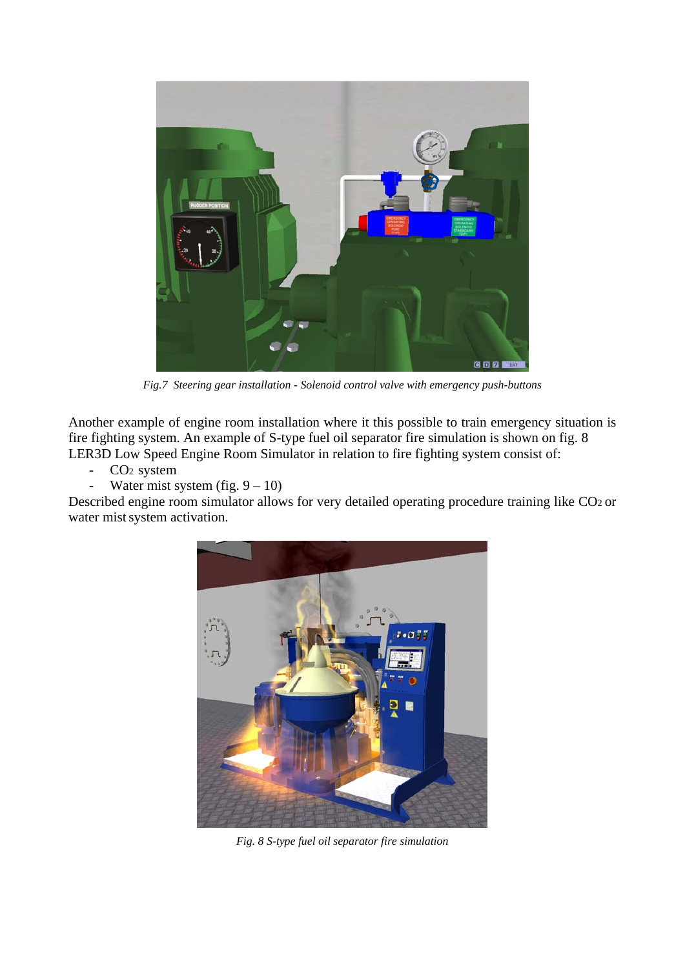

*Fig.7 Steering gear installation - Solenoid control valve with emergency push-buttons* 

Another example of engine room installation where it this possible to train emergency situation is fire fighting system. An example of S-type fuel oil separator fire simulation is shown on fig. 8 LER3D Low Speed Engine Room Simulator in relation to fire fighting system consist of:

- CO<sub>2</sub> system<br>- Water mist s
- Water mist system (fig.  $9 10$ )

Described engine room simulator allows for very detailed operating procedure training like CO2 or water mist system activation.



*Fig. 8 S-type fuel oil separator fire simulation*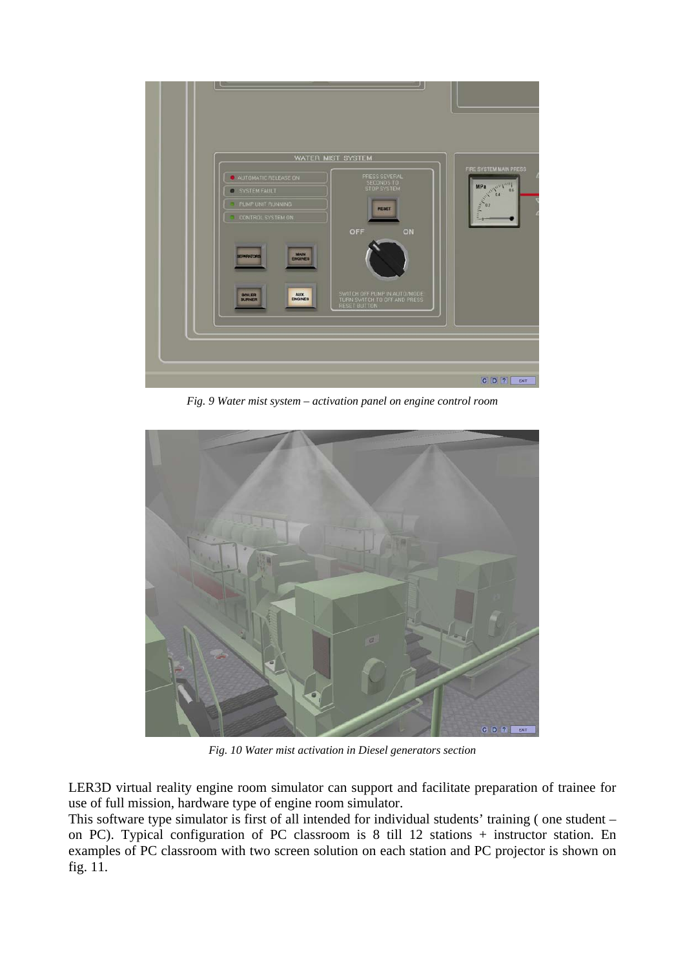

*Fig. 9 Water mist system – activation panel on engine control room*



*Fig. 10 Water mist activation in Diesel generators section*

LER3D virtual reality engine room simulator can support and facilitate preparation of trainee for use of full mission, hardware type of engine room simulator.

This software type simulator is first of all intended for individual students' training ( one student – on PC). Typical configuration of PC classroom is 8 till 12 stations + instructor station. En examples of PC classroom with two screen solution on each station and PC projector is shown on fig. 11.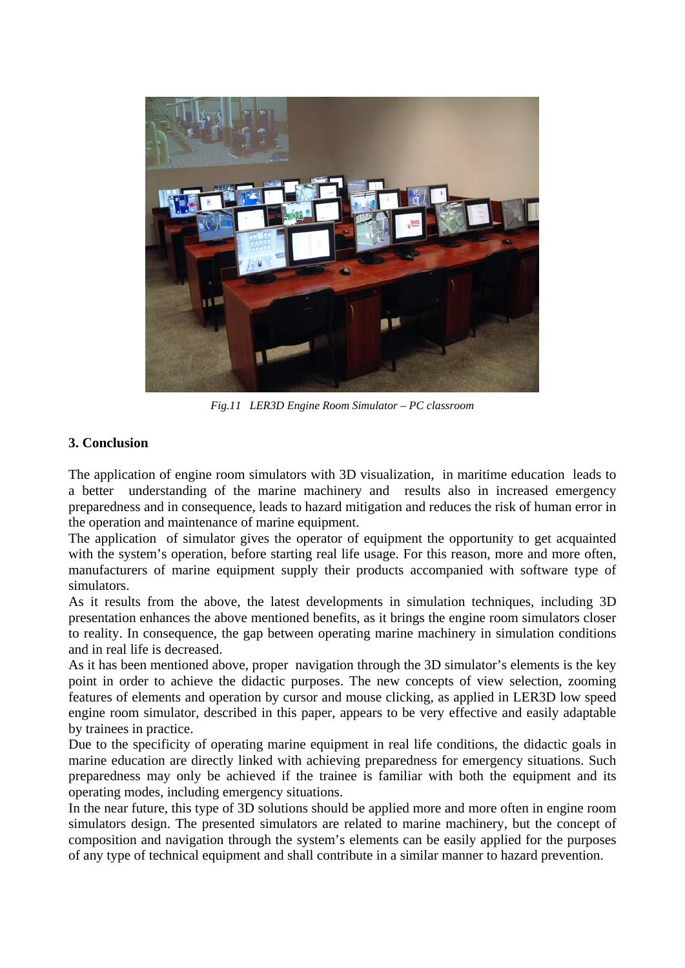

*Fig.11 LER3D Engine Room Simulator – PC classroom*

## **3. Conclusion**

The application of engine room simulators with 3D visualization, in maritime education leads to a better understanding of the marine machinery and results also in increased emergency preparedness and in consequence, leads to hazard mitigation and reduces the risk of human error in the operation and maintenance of marine equipment.

The application of simulator gives the operator of equipment the opportunity to get acquainted with the system's operation, before starting real life usage. For this reason, more and more often, manufacturers of marine equipment supply their products accompanied with software type of simulators.

As it results from the above, the latest developments in simulation techniques, including 3D presentation enhances the above mentioned benefits, as it brings the engine room simulators closer to reality. In consequence, the gap between operating marine machinery in simulation conditions and in real life is decreased.

As it has been mentioned above, proper navigation through the 3D simulator's elements is the key point in order to achieve the didactic purposes. The new concepts of view selection, zooming features of elements and operation by cursor and mouse clicking, as applied in LER3D low speed engine room simulator, described in this paper, appears to be very effective and easily adaptable by trainees in practice.

Due to the specificity of operating marine equipment in real life conditions, the didactic goals in marine education are directly linked with achieving preparedness for emergency situations. Such preparedness may only be achieved if the trainee is familiar with both the equipment and its operating modes, including emergency situations.

In the near future, this type of 3D solutions should be applied more and more often in engine room simulators design. The presented simulators are related to marine machinery, but the concept of composition and navigation through the system's elements can be easily applied for the purposes of any type of technical equipment and shall contribute in a similar manner to hazard prevention.